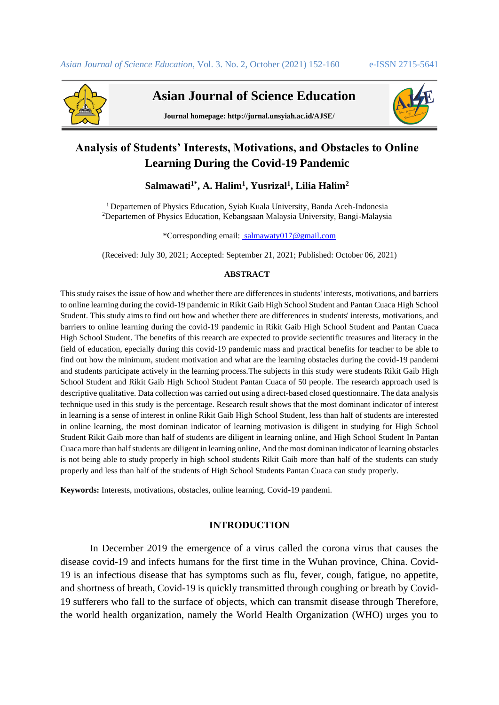

 **Asian Journal of Science Education**



**Journal homepage: http://jurnal.unsyiah.ac.id/AJSE/**

# **Analysis of Students' Interests, Motivations, and Obstacles to Online Learning During the Covid-19 Pandemic**

# **Salmawati1\* , A. Halim<sup>1</sup> , Yusrizal<sup>1</sup> , Lilia Halim<sup>2</sup>**

<sup>1</sup> Departemen of Physics Education, Syiah Kuala University, Banda Aceh-Indonesia <sup>2</sup>Departemen of Physics Education, Kebangsaan Malaysia University, Bangi-Malaysia

\*Corresponding email: [salmawaty017@gmail.com](mailto:%20salmawaty017@gmail.com)

(Received: July 30, 2021; Accepted: September 21, 2021; Published: October 06, 2021)

# **ABSTRACT**

This study raises the issue of how and whether there are differences in students' interests, motivations, and barriers to online learning during the covid-19 pandemic in Rikit Gaib High School Student and Pantan Cuaca High School Student. This study aims to find out how and whether there are differences in students' interests, motivations, and barriers to online learning during the covid-19 pandemic in Rikit Gaib High School Student and Pantan Cuaca High School Student. The benefits of this reearch are expected to provide secientific treasures and literacy in the field of education, epecially during this covid-19 pandemic mass and practical benefits for teacher to be able to find out how the minimum, student motivation and what are the learning obstacles during the covid-19 pandemi and students participate actively in the learning process.The subjects in this study were students Rikit Gaib High School Student and Rikit Gaib High School Student Pantan Cuaca of 50 people. The research approach used is descriptive qualitative. Data collection was carried out using a direct-based closed questionnaire. The data analysis technique used in this study is the percentage. Research result shows that the most dominant indicator of interest in learning is a sense of interest in online Rikit Gaib High School Student, less than half of students are interested in online learning, the most dominan indicator of learning motivasion is diligent in studying for High School Student Rikit Gaib more than half of students are diligent in learning online, and High School Student In Pantan Cuaca more than half students are diligent in learning online, And the most dominan indicator of learning obstacles is not being able to study properly in high school students Rikit Gaib more than half of the students can study properly and less than half of the students of High School Students Pantan Cuaca can study properly.

**Keywords:** Interests, motivations, obstacles, online learning, Covid-19 pandemi*.*

# **INTRODUCTION**

In December 2019 the emergence of a virus called the corona virus that causes the disease covid-19 and infects humans for the first time in the Wuhan province, China. Covid-19 is an infectious disease that has symptoms such as flu, fever, cough, fatigue, no appetite, and shortness of breath, Covid-19 is quickly transmitted through coughing or breath by Covid-19 sufferers who fall to the surface of objects, which can transmit disease through Therefore, the world health organization, namely the World Health Organization (WHO) urges you to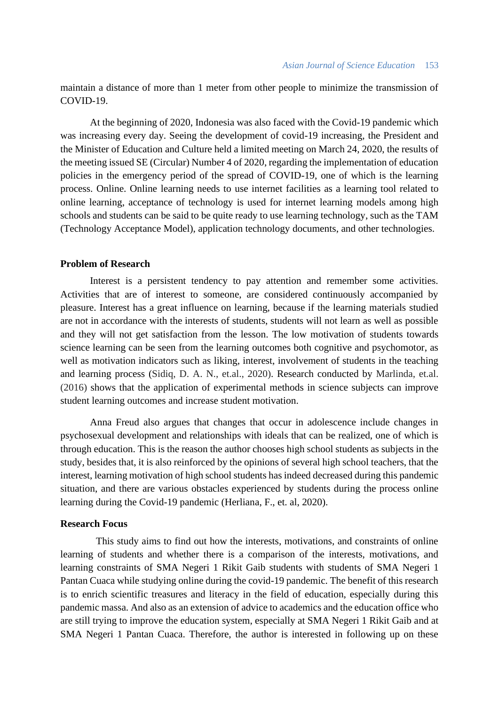maintain a distance of more than 1 meter from other people to minimize the transmission of COVID-19.

At the beginning of 2020, Indonesia was also faced with the Covid-19 pandemic which was increasing every day. Seeing the development of covid-19 increasing, the President and the Minister of Education and Culture held a limited meeting on March 24, 2020, the results of the meeting issued SE (Circular) Number 4 of 2020, regarding the implementation of education policies in the emergency period of the spread of COVID-19, one of which is the learning process. Online. Online learning needs to use internet facilities as a learning tool related to online learning, acceptance of technology is used for internet learning models among high schools and students can be said to be quite ready to use learning technology, such as the TAM (Technology Acceptance Model), application technology documents, and other technologies.

## **Problem of Research**

Interest is a persistent tendency to pay attention and remember some activities. Activities that are of interest to someone, are considered continuously accompanied by pleasure. Interest has a great influence on learning, because if the learning materials studied are not in accordance with the interests of students, students will not learn as well as possible and they will not get satisfaction from the lesson. The low motivation of students towards science learning can be seen from the learning outcomes both cognitive and psychomotor, as well as motivation indicators such as liking, interest, involvement of students in the teaching and learning process (Sidiq, D. A. N., et.al., 2020). Research conducted by Marlinda, et.al. (2016) shows that the application of experimental methods in science subjects can improve student learning outcomes and increase student motivation.

Anna Freud also argues that changes that occur in adolescence include changes in psychosexual development and relationships with ideals that can be realized, one of which is through education. This is the reason the author chooses high school students as subjects in the study, besides that, it is also reinforced by the opinions of several high school teachers, that the interest, learning motivation of high school students has indeed decreased during this pandemic situation, and there are various obstacles experienced by students during the process online learning during the Covid-19 pandemic (Herliana, F., et. al, 2020).

# **Research Focus**

This study aims to find out how the interests, motivations, and constraints of online learning of students and whether there is a comparison of the interests, motivations, and learning constraints of SMA Negeri 1 Rikit Gaib students with students of SMA Negeri 1 Pantan Cuaca while studying online during the covid-19 pandemic. The benefit of this research is to enrich scientific treasures and literacy in the field of education, especially during this pandemic massa. And also as an extension of advice to academics and the education office who are still trying to improve the education system, especially at SMA Negeri 1 Rikit Gaib and at SMA Negeri 1 Pantan Cuaca. Therefore, the author is interested in following up on these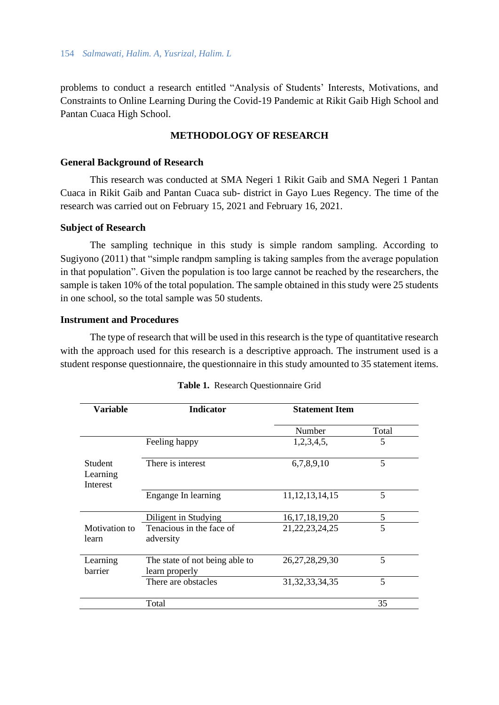problems to conduct a research entitled "Analysis of Students' Interests, Motivations, and Constraints to Online Learning During the Covid-19 Pandemic at Rikit Gaib High School and Pantan Cuaca High School.

# **METHODOLOGY OF RESEARCH**

# **General Background of Research**

This research was conducted at SMA Negeri 1 Rikit Gaib and SMA Negeri 1 Pantan Cuaca in Rikit Gaib and Pantan Cuaca sub- district in Gayo Lues Regency. The time of the research was carried out on February 15, 2021 and February 16, 2021.

#### **Subject of Research**

The sampling technique in this study is simple random sampling. According to Sugiyono (2011) that "simple randpm sampling is taking samples from the average population in that population". Given the population is too large cannot be reached by the researchers, the sample is taken 10% of the total population. The sample obtained in this study were 25 students in one school, so the total sample was 50 students.

#### **Instrument and Procedures**

The type of research that will be used in this research is the type of quantitative research with the approach used for this research is a descriptive approach. The instrument used is a student response questionnaire, the questionnaire in this study amounted to 35 statement items.

| <b>Variable</b>                        | <b>Indicator</b>                                 | <b>Statement Item</b> |       |  |
|----------------------------------------|--------------------------------------------------|-----------------------|-------|--|
|                                        |                                                  | Number                | Total |  |
|                                        | Feeling happy                                    | 1,2,3,4,5,            | 5     |  |
| <b>Student</b><br>Learning<br>Interest | There is interest                                | 6,7,8,9,10            | 5     |  |
|                                        | Engange In learning                              | 11, 12, 13, 14, 15    | 5     |  |
|                                        | Diligent in Studying                             | 16, 17, 18, 19, 20    | 5     |  |
| Motivation to<br>learn                 | Tenacious in the face of<br>adversity            | 21, 22, 23, 24, 25    | 5     |  |
| Learning<br>barrier                    | The state of not being able to<br>learn properly | 26, 27, 28, 29, 30    | 5     |  |
|                                        | There are obstacles                              | 31, 32, 33, 34, 35    | 5     |  |
|                                        | Total                                            |                       | 35    |  |

|  | Table 1. Research Questionnaire Grid |  |  |
|--|--------------------------------------|--|--|
|--|--------------------------------------|--|--|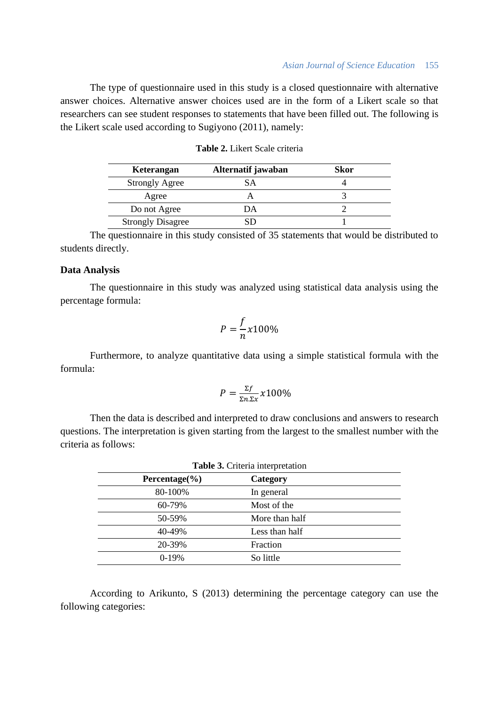#### *Asian Journal of Science Education* 155

The type of questionnaire used in this study is a closed questionnaire with alternative answer choices. Alternative answer choices used are in the form of a Likert scale so that researchers can see student responses to statements that have been filled out. The following is the Likert scale used according to Sugiyono (2011), namely:

| Keterangan               | Alternatif jawaban | Skor |
|--------------------------|--------------------|------|
| <b>Strongly Agree</b>    |                    |      |
| Agree                    |                    |      |
| Do not Agree             | JА                 |      |
| <b>Strongly Disagree</b> |                    |      |

The questionnaire in this study consisted of 35 statements that would be distributed to students directly.

# **Data Analysis**

The questionnaire in this study was analyzed using statistical data analysis using the percentage formula:

$$
P = \frac{f}{n}x100\%
$$

Furthermore, to analyze quantitative data using a simple statistical formula with the formula:

$$
P = \frac{\Sigma f}{\Sigma n \Sigma x} x 100\%
$$

Then the data is described and interpreted to draw conclusions and answers to research questions. The interpretation is given starting from the largest to the smallest number with the criteria as follows:

| Percentage $(\% )$ | Category       |  |
|--------------------|----------------|--|
|                    |                |  |
| 80-100%            | In general     |  |
| 60-79%             | Most of the    |  |
| 50-59%             | More than half |  |
| 40-49%             | Less than half |  |
| 20-39%             | Fraction       |  |
| $0-19%$            | So little      |  |
|                    |                |  |

According to Arikunto, S (2013) determining the percentage category can use the following categories: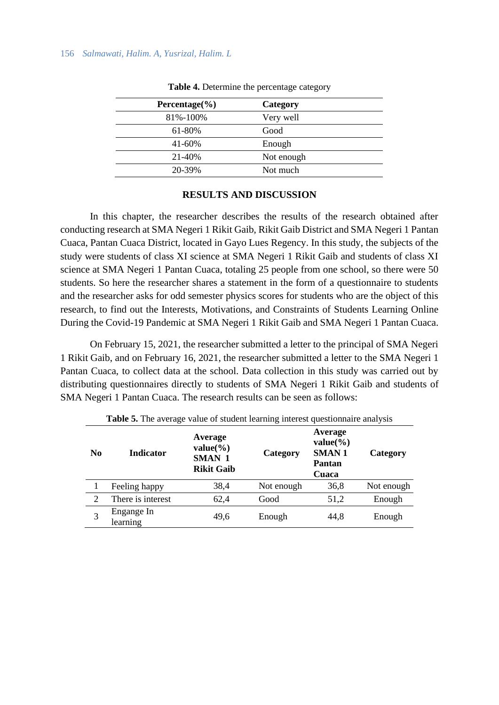| Percentage $(\% )$ | Category   |
|--------------------|------------|
| 81%-100%           | Very well  |
| 61-80%             | Good       |
| 41-60%             | Enough     |
| 21-40%             | Not enough |
| 20-39%             | Not much   |

**Table 4.** Determine the percentage category

#### **RESULTS AND DISCUSSION**

In this chapter, the researcher describes the results of the research obtained after conducting research at SMA Negeri 1 Rikit Gaib, Rikit Gaib District and SMA Negeri 1 Pantan Cuaca, Pantan Cuaca District, located in Gayo Lues Regency. In this study, the subjects of the study were students of class XI science at SMA Negeri 1 Rikit Gaib and students of class XI science at SMA Negeri 1 Pantan Cuaca, totaling 25 people from one school, so there were 50 students. So here the researcher shares a statement in the form of a questionnaire to students and the researcher asks for odd semester physics scores for students who are the object of this research, to find out the Interests, Motivations, and Constraints of Students Learning Online During the Covid-19 Pandemic at SMA Negeri 1 Rikit Gaib and SMA Negeri 1 Pantan Cuaca.

On February 15, 2021, the researcher submitted a letter to the principal of SMA Negeri 1 Rikit Gaib, and on February 16, 2021, the researcher submitted a letter to the SMA Negeri 1 Pantan Cuaca, to collect data at the school. Data collection in this study was carried out by distributing questionnaires directly to students of SMA Negeri 1 Rikit Gaib and students of SMA Negeri 1 Pantan Cuaca. The research results can be seen as follows:

|                | <b>Table 5.</b> The average value of student realming interest questionnance analysis |                                                        |            |                                                            |            |  |  |
|----------------|---------------------------------------------------------------------------------------|--------------------------------------------------------|------------|------------------------------------------------------------|------------|--|--|
| N <sub>0</sub> | <b>Indicator</b>                                                                      | Average<br>$value(\% )$<br>SMAN 1<br><b>Rikit Gaib</b> | Category   | Average<br>$value(\% )$<br><b>SMAN1</b><br>Pantan<br>Cuaca | Category   |  |  |
|                | Feeling happy                                                                         | 38,4                                                   | Not enough | 36,8                                                       | Not enough |  |  |
| 2              | There is interest                                                                     | 62,4                                                   | Good       | 51,2                                                       | Enough     |  |  |
| 3              | Engange In<br>learning                                                                | 49,6                                                   | Enough     | 44,8                                                       | Enough     |  |  |

**Table 5.** The average value of student learning interest questionnaire analysis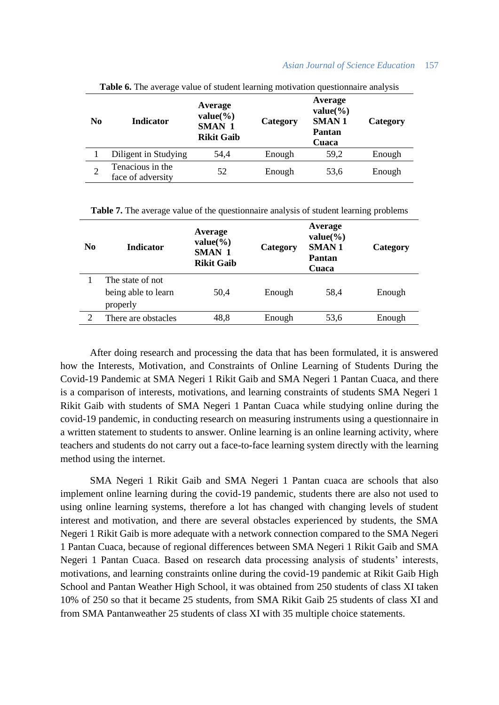## *Asian Journal of Science Education* 157

| N <sub>0</sub> | <b>Twore</b> of the average value of student feathing modivation questionnance and you<br><b>Indicator</b> | Average<br>$value(\% )$<br><b>SMAN 1</b> | Category | Average<br>$value(\% )$<br><b>SMAN1</b><br><b>Pantan</b> | Category |
|----------------|------------------------------------------------------------------------------------------------------------|------------------------------------------|----------|----------------------------------------------------------|----------|
|                | Diligent in Studying                                                                                       | 54,4                                     | Enough   | 59,2                                                     | Enough   |
| $\overline{2}$ | Tenacious in the<br>face of adversity                                                                      | 52                                       | Enough   | 53,6                                                     | Enough   |

**Table 6.** The average value of student learning motivation questionnaire analysis

**Table 7.** The average value of the questionnaire analysis of student learning problems

| N <sub>0</sub> | <b>Indicator</b>                                    | Average<br>$value(\% )$<br>SMAN 1<br><b>Rikit Gaib</b> | Category | Average<br>$value(\% )$<br><b>SMAN1</b><br>Pantan<br>Cuaca | Category |
|----------------|-----------------------------------------------------|--------------------------------------------------------|----------|------------------------------------------------------------|----------|
|                | The state of not<br>being able to learn<br>properly | 50,4                                                   | Enough   | 58,4                                                       | Enough   |
| 2              | There are obstacles                                 | 48,8                                                   | Enough   | 53,6                                                       | Enough   |
|                |                                                     |                                                        |          |                                                            |          |

After doing research and processing the data that has been formulated, it is answered how the Interests, Motivation, and Constraints of Online Learning of Students During the Covid-19 Pandemic at SMA Negeri 1 Rikit Gaib and SMA Negeri 1 Pantan Cuaca, and there is a comparison of interests, motivations, and learning constraints of students SMA Negeri 1 Rikit Gaib with students of SMA Negeri 1 Pantan Cuaca while studying online during the covid-19 pandemic, in conducting research on measuring instruments using a questionnaire in a written statement to students to answer. Online learning is an online learning activity, where teachers and students do not carry out a face-to-face learning system directly with the learning method using the internet.

SMA Negeri 1 Rikit Gaib and SMA Negeri 1 Pantan cuaca are schools that also implement online learning during the covid-19 pandemic, students there are also not used to using online learning systems, therefore a lot has changed with changing levels of student interest and motivation, and there are several obstacles experienced by students, the SMA Negeri 1 Rikit Gaib is more adequate with a network connection compared to the SMA Negeri 1 Pantan Cuaca, because of regional differences between SMA Negeri 1 Rikit Gaib and SMA Negeri 1 Pantan Cuaca. Based on research data processing analysis of students' interests, motivations, and learning constraints online during the covid-19 pandemic at Rikit Gaib High School and Pantan Weather High School, it was obtained from 250 students of class XI taken 10% of 250 so that it became 25 students, from SMA Rikit Gaib 25 students of class XI and from SMA Pantanweather 25 students of class XI with 35 multiple choice statements.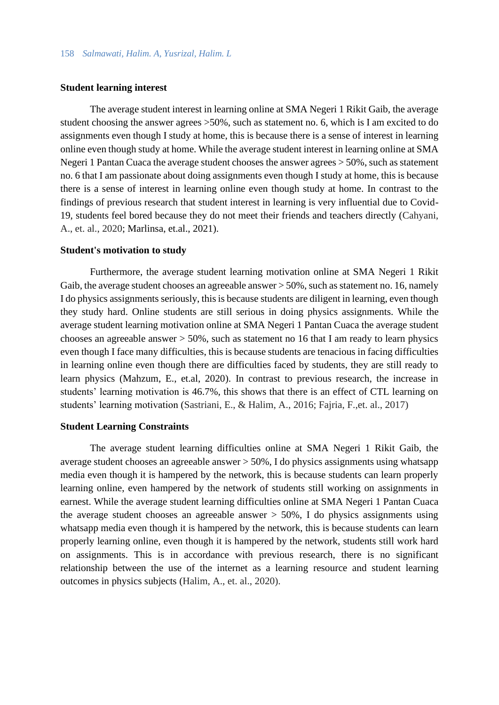# **Student learning interest**

The average student interest in learning online at SMA Negeri 1 Rikit Gaib, the average student choosing the answer agrees >50%, such as statement no. 6, which is I am excited to do assignments even though I study at home, this is because there is a sense of interest in learning online even though study at home. While the average student interest in learning online at SMA Negeri 1 Pantan Cuaca the average student chooses the answer agrees > 50%, such as statement no. 6 that I am passionate about doing assignments even though I study at home, this is because there is a sense of interest in learning online even though study at home. In contrast to the findings of previous research that student interest in learning is very influential due to Covid-19, students feel bored because they do not meet their friends and teachers directly (Cahyani, A., et. al., 2020; Marlinsa, et.al., 2021).

#### **Student's motivation to study**

Furthermore, the average student learning motivation online at SMA Negeri 1 Rikit Gaib, the average student chooses an agreeable answer > 50%, such as statement no. 16, namely I do physics assignments seriously, this is because students are diligent in learning, even though they study hard. Online students are still serious in doing physics assignments. While the average student learning motivation online at SMA Negeri 1 Pantan Cuaca the average student chooses an agreeable answer  $> 50\%$ , such as statement no 16 that I am ready to learn physics even though I face many difficulties, this is because students are tenacious in facing difficulties in learning online even though there are difficulties faced by students, they are still ready to learn physics (Mahzum, E., et.al, 2020). In contrast to previous research, the increase in students' learning motivation is 46.7%, this shows that there is an effect of CTL learning on students' learning motivation (Sastriani, E., & Halim, A., 2016; Fajria, F.,et. al., 2017)

## **Student Learning Constraints**

The average student learning difficulties online at SMA Negeri 1 Rikit Gaib, the average student chooses an agreeable answer > 50%, I do physics assignments using whatsapp media even though it is hampered by the network, this is because students can learn properly learning online, even hampered by the network of students still working on assignments in earnest. While the average student learning difficulties online at SMA Negeri 1 Pantan Cuaca the average student chooses an agreeable answer  $> 50\%$ , I do physics assignments using whatsapp media even though it is hampered by the network, this is because students can learn properly learning online, even though it is hampered by the network, students still work hard on assignments. This is in accordance with previous research, there is no significant relationship between the use of the internet as a learning resource and student learning outcomes in physics subjects (Halim, A., et. al., 2020).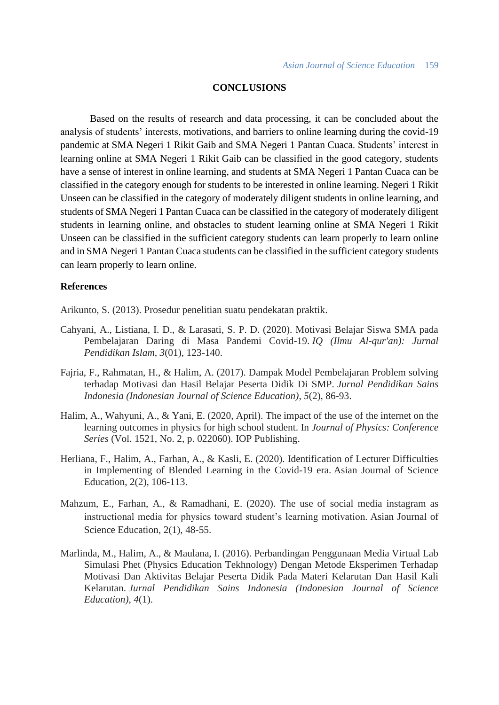# **CONCLUSIONS**

Based on the results of research and data processing, it can be concluded about the analysis of students' interests, motivations, and barriers to online learning during the covid-19 pandemic at SMA Negeri 1 Rikit Gaib and SMA Negeri 1 Pantan Cuaca. Students' interest in learning online at SMA Negeri 1 Rikit Gaib can be classified in the good category, students have a sense of interest in online learning, and students at SMA Negeri 1 Pantan Cuaca can be classified in the category enough for students to be interested in online learning. Negeri 1 Rikit Unseen can be classified in the category of moderately diligent students in online learning, and students of SMA Negeri 1 Pantan Cuaca can be classified in the category of moderately diligent students in learning online, and obstacles to student learning online at SMA Negeri 1 Rikit Unseen can be classified in the sufficient category students can learn properly to learn online and in SMA Negeri 1 Pantan Cuaca students can be classified in the sufficient category students can learn properly to learn online.

# **References**

Arikunto, S. (2013). Prosedur penelitian suatu pendekatan praktik.

- Cahyani, A., Listiana, I. D., & Larasati, S. P. D. (2020). Motivasi Belajar Siswa SMA pada Pembelajaran Daring di Masa Pandemi Covid-19. *IQ (Ilmu Al-qur'an): Jurnal Pendidikan Islam*, *3*(01), 123-140.
- Fajria, F., Rahmatan, H., & Halim, A. (2017). Dampak Model Pembelajaran Problem solving terhadap Motivasi dan Hasil Belajar Peserta Didik Di SMP. *Jurnal Pendidikan Sains Indonesia (Indonesian Journal of Science Education)*, *5*(2), 86-93.
- Halim, A., Wahyuni, A., & Yani, E. (2020, April). The impact of the use of the internet on the learning outcomes in physics for high school student. In *Journal of Physics: Conference Series* (Vol. 1521, No. 2, p. 022060). IOP Publishing.
- Herliana, F., Halim, A., Farhan, A., & Kasli, E. (2020). Identification of Lecturer Difficulties in Implementing of Blended Learning in the Covid-19 era. Asian Journal of Science Education, 2(2), 106-113.
- Mahzum, E., Farhan, A., & Ramadhani, E. (2020). The use of social media instagram as instructional media for physics toward student's learning motivation. Asian Journal of Science Education, 2(1), 48-55.
- Marlinda, M., Halim, A., & Maulana, I. (2016). Perbandingan Penggunaan Media Virtual Lab Simulasi Phet (Physics Education Tekhnology) Dengan Metode Eksperimen Terhadap Motivasi Dan Aktivitas Belajar Peserta Didik Pada Materi Kelarutan Dan Hasil Kali Kelarutan. *Jurnal Pendidikan Sains Indonesia (Indonesian Journal of Science Education)*, *4*(1).